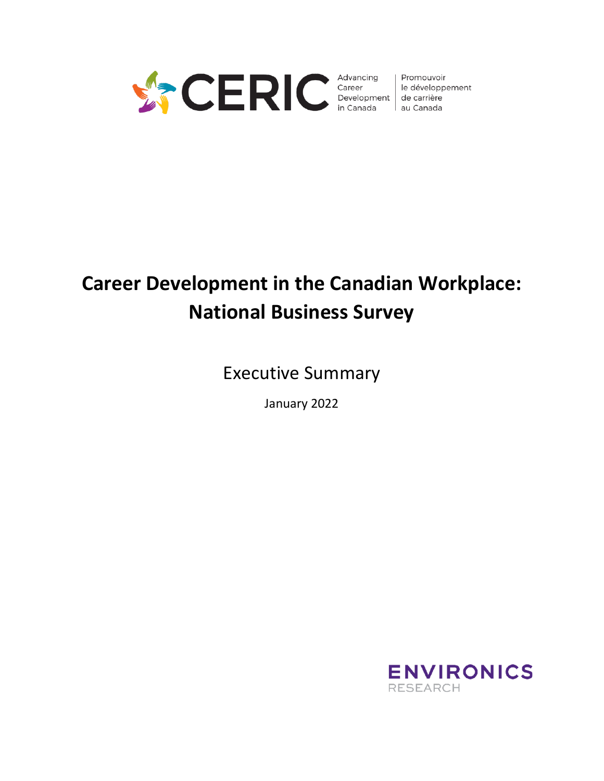

Promouvoir le développement

# **Career Development in the Canadian Workplace: National Business Survey**

Executive Summary

January 2022

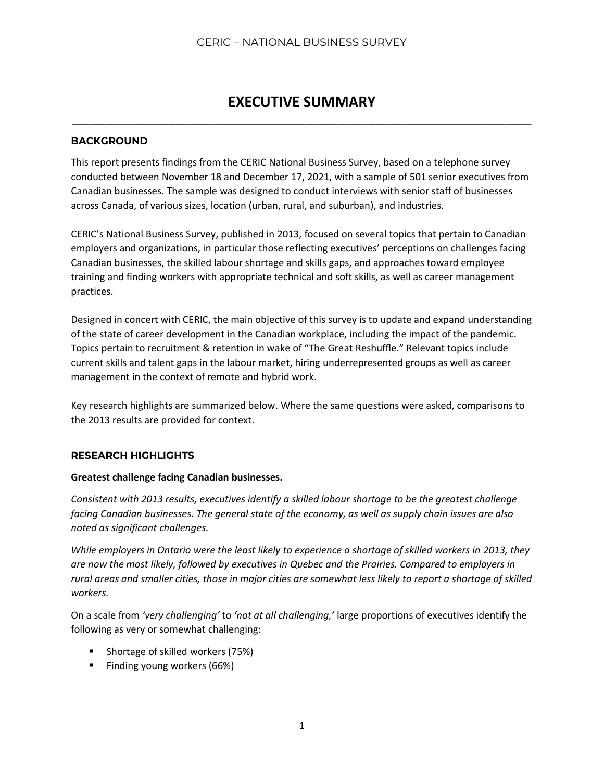# **EXECUTIVE SUMMARY** \_\_\_\_\_\_\_\_\_\_\_\_\_\_\_\_\_\_\_\_\_\_\_\_\_\_\_\_\_\_\_\_\_\_\_\_\_\_\_\_\_\_\_\_\_\_\_\_\_\_\_\_\_\_\_\_\_\_\_\_\_\_\_\_\_\_\_\_\_\_\_\_\_\_\_\_\_\_\_\_\_\_\_\_\_

#### **BACKGROUND**

This report presents findings from the CERIC National Business Survey, based on a telephone survey conducted between November 18 and December 17, 2021, with a sample of 501 senior executives from Canadian businesses. The sample was designed to conduct interviews with senior staff of businesses across Canada, of various sizes, location (urban, rural, and suburban), and industries.

CERIC's National Business Survey, published in 2013, focused on several topics that pertain to Canadian employers and organizations, in particular those reflecting executives' perceptions on challenges facing Canadian businesses, the skilled labour shortage and skills gaps, and approaches toward employee training and finding workers with appropriate technical and soft skills, as well as career management practices.

Designed in concert with CERIC, the main objective of this survey is to update and expand understanding of the state of career development in the Canadian workplace, including the impact of the pandemic. Topics pertain to recruitment & retention in wake of "The Great Reshuffle." Relevant topics include current skills and talent gaps in the labour market, hiring underrepresented groups as well as career management in the context of remote and hybrid work.

Key research highlights are summarized below. Where the same questions were asked, comparisons to the 2013 results are provided for context.

### **RESEARCH HIGHLIGHTS**

#### **Greatest challenge facing Canadian businesses.**

*Consistent with 2013 results, executives identify a skilled labour shortage to be the greatest challenge facing Canadian businesses. The general state of the economy, as well as supply chain issues are also noted as significant challenges.*

*While employers in Ontario were the least likely to experience a shortage of skilled workers in 2013, they are now the most likely, followed by executives in Quebec and the Prairies. Compared to employers in rural areas and smaller cities, those in major cities are somewhat less likely to report a shortage of skilled workers.*

On a scale from *'very challenging'* to *'not at all challenging,'* large proportions of executives identify the following as very or somewhat challenging:

- Shortage of skilled workers (75%)
- Finding young workers (66%)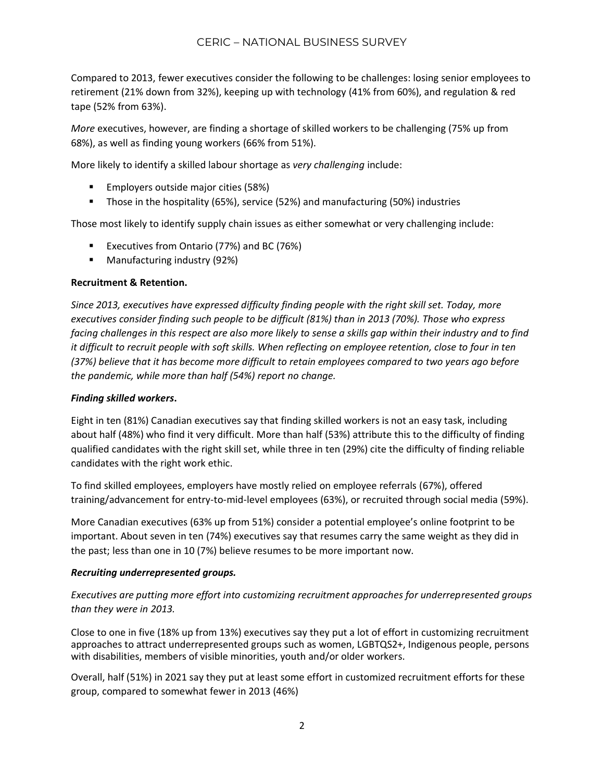Compared to 2013, fewer executives consider the following to be challenges: losing senior employees to retirement (21% down from 32%), keeping up with technology (41% from 60%), and regulation & red tape (52% from 63%).

*More* executives, however, are finding a shortage of skilled workers to be challenging (75% up from 68%), as well as finding young workers (66% from 51%).

More likely to identify a skilled labour shortage as *very challenging* include:

- Employers outside major cities (58%)
- Those in the hospitality (65%), service (52%) and manufacturing (50%) industries

Those most likely to identify supply chain issues as either somewhat or very challenging include:

- Executives from Ontario (77%) and BC (76%)
- Manufacturing industry (92%)

#### **Recruitment & Retention.**

*Since 2013, executives have expressed difficulty finding people with the right skill set. Today, more executives consider finding such people to be difficult (81%) than in 2013 (70%). Those who express facing challenges in this respect are also more likely to sense a skills gap within their industry and to find it difficult to recruit people with soft skills. When reflecting on employee retention, close to four in ten (37%) believe that it has become more difficult to retain employees compared to two years ago before the pandemic, while more than half (54%) report no change.*

#### *Finding skilled workers***.**

Eight in ten (81%) Canadian executives say that finding skilled workers is not an easy task, including about half (48%) who find it very difficult. More than half (53%) attribute this to the difficulty of finding qualified candidates with the right skill set, while three in ten (29%) cite the difficulty of finding reliable candidates with the right work ethic.

To find skilled employees, employers have mostly relied on employee referrals (67%), offered training/advancement for entry-to-mid-level employees (63%), or recruited through social media (59%).

More Canadian executives (63% up from 51%) consider a potential employee's online footprint to be important. About seven in ten (74%) executives say that resumes carry the same weight as they did in the past; less than one in 10 (7%) believe resumes to be more important now.

### *Recruiting underrepresented groups.*

*Executives are putting more effort into customizing recruitment approaches for underrepresented groups than they were in 2013.*

Close to one in five (18% up from 13%) executives say they put a lot of effort in customizing recruitment approaches to attract underrepresented groups such as women, LGBTQS2+, Indigenous people, persons with disabilities, members of visible minorities, youth and/or older workers.

Overall, half (51%) in 2021 say they put at least some effort in customized recruitment efforts for these group, compared to somewhat fewer in 2013 (46%)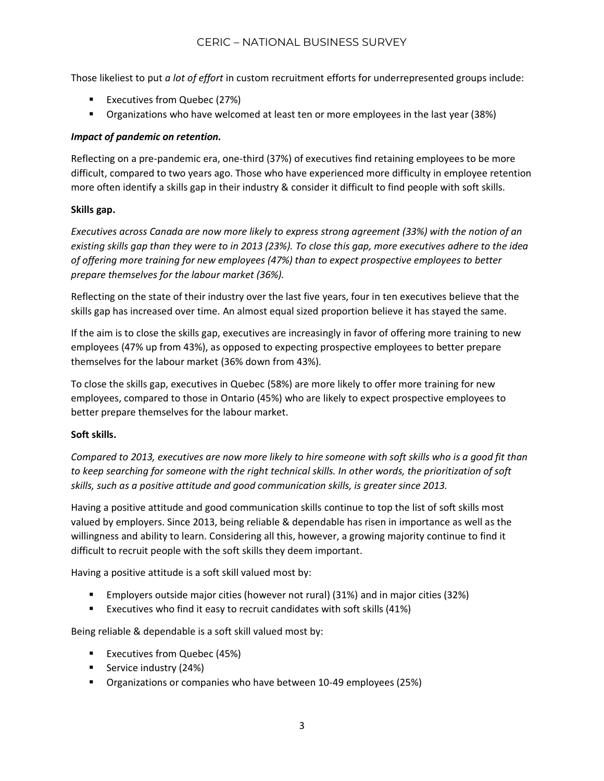Those likeliest to put *a lot of effort* in custom recruitment efforts for underrepresented groups include:

- Executives from Quebec (27%)
- **•** Organizations who have welcomed at least ten or more employees in the last year (38%)

# *Impact of pandemic on retention.*

Reflecting on a pre-pandemic era, one-third (37%) of executives find retaining employees to be more difficult, compared to two years ago. Those who have experienced more difficulty in employee retention more often identify a skills gap in their industry & consider it difficult to find people with soft skills.

### **Skills gap.**

*Executives across Canada are now more likely to express strong agreement (33%) with the notion of an existing skills gap than they were to in 2013 (23%). To close this gap, more executives adhere to the idea of offering more training for new employees (47%) than to expect prospective employees to better prepare themselves for the labour market (36%).*

Reflecting on the state of their industry over the last five years, four in ten executives believe that the skills gap has increased over time. An almost equal sized proportion believe it has stayed the same.

If the aim is to close the skills gap, executives are increasingly in favor of offering more training to new employees (47% up from 43%), as opposed to expecting prospective employees to better prepare themselves for the labour market (36% down from 43%).

To close the skills gap, executives in Quebec (58%) are more likely to offer more training for new employees, compared to those in Ontario (45%) who are likely to expect prospective employees to better prepare themselves for the labour market.

### **Soft skills.**

*Compared to 2013, executives are now more likely to hire someone with soft skills who is a good fit than to keep searching for someone with the right technical skills. In other words, the prioritization of soft skills, such as a positive attitude and good communication skills, is greater since 2013.*

Having a positive attitude and good communication skills continue to top the list of soft skills most valued by employers. Since 2013, being reliable & dependable has risen in importance as well as the willingness and ability to learn. Considering all this, however, a growing majority continue to find it difficult to recruit people with the soft skills they deem important.

Having a positive attitude is a soft skill valued most by:

- Employers outside major cities (however not rural) (31%) and in major cities (32%)
- Executives who find it easy to recruit candidates with soft skills (41%)

Being reliable & dependable is a soft skill valued most by:

- Executives from Quebec (45%)
- Service industry (24%)
- Organizations or companies who have between 10-49 employees (25%)